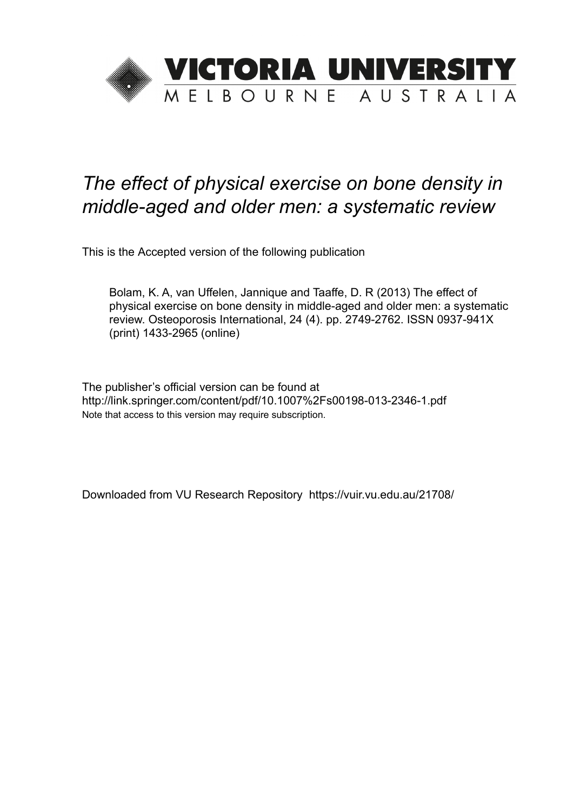

## *The effect of physical exercise on bone density in middle-aged and older men: a systematic review*

This is the Accepted version of the following publication

Bolam, K. A, van Uffelen, Jannique and Taaffe, D. R (2013) The effect of physical exercise on bone density in middle-aged and older men: a systematic review. Osteoporosis International, 24 (4). pp. 2749-2762. ISSN 0937-941X (print) 1433-2965 (online)

The publisher's official version can be found at http://link.springer.com/content/pdf/10.1007%2Fs00198-013-2346-1.pdf Note that access to this version may require subscription.

Downloaded from VU Research Repository https://vuir.vu.edu.au/21708/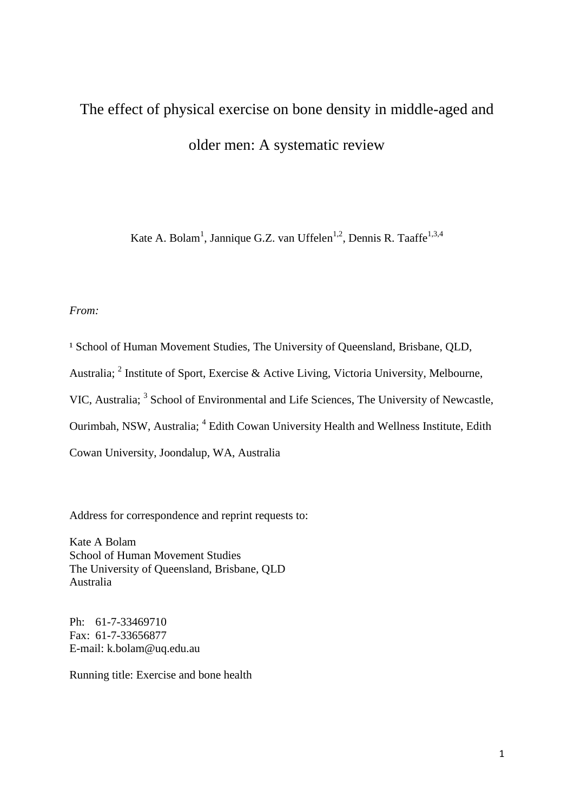# The effect of physical exercise on bone density in middle-aged and older men: A systematic review

Kate A. Bolam<sup>1</sup>, Jannique G.Z. van Uffelen<sup>1,2</sup>, Dennis R. Taaffe<sup>1,3,4</sup>

## *From:*

<sup>1</sup> School of Human Movement Studies, The University of Queensland, Brisbane, QLD, Australia; <sup>2</sup> Institute of Sport, Exercise & Active Living, Victoria University, Melbourne, VIC, Australia; <sup>3</sup> School of Environmental and Life Sciences, The University of Newcastle, Ourimbah, NSW, Australia; 4 Edith Cowan University Health and Wellness Institute, Edith Cowan University, Joondalup, WA, Australia

Address for correspondence and reprint requests to:

Kate A Bolam School of Human Movement Studies The University of Queensland, Brisbane, QLD Australia

Ph: 61-7-33469710 Fax: 61-7-33656877 E-mail: k.bolam@uq.edu.au

Running title: Exercise and bone health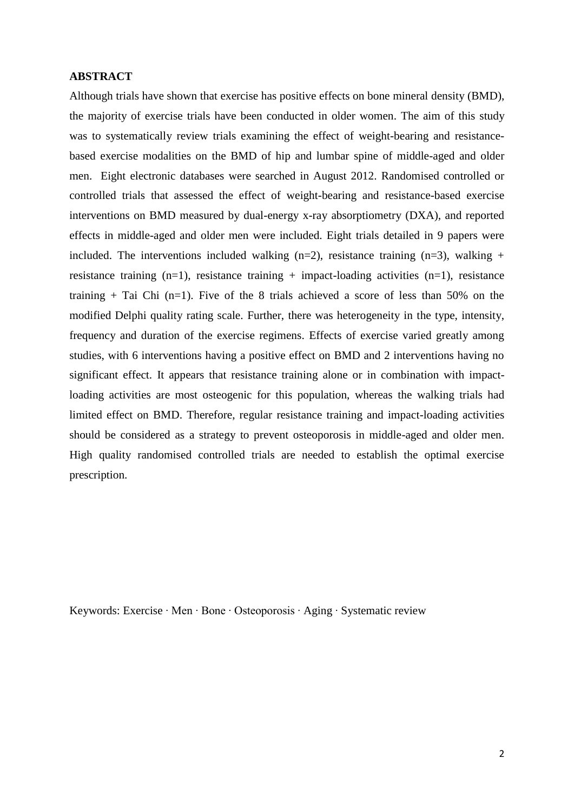#### **ABSTRACT**

Although trials have shown that exercise has positive effects on bone mineral density (BMD), the majority of exercise trials have been conducted in older women. The aim of this study was to systematically review trials examining the effect of weight-bearing and resistancebased exercise modalities on the BMD of hip and lumbar spine of middle-aged and older men. Eight electronic databases were searched in August 2012. Randomised controlled or controlled trials that assessed the effect of weight-bearing and resistance-based exercise interventions on BMD measured by dual-energy x-ray absorptiometry (DXA), and reported effects in middle-aged and older men were included. Eight trials detailed in 9 papers were included. The interventions included walking  $(n=2)$ , resistance training  $(n=3)$ , walking + resistance training  $(n=1)$ , resistance training  $+$  impact-loading activities  $(n=1)$ , resistance training  $+$  Tai Chi (n=1). Five of the 8 trials achieved a score of less than 50% on the modified Delphi quality rating scale. Further, there was heterogeneity in the type, intensity, frequency and duration of the exercise regimens. Effects of exercise varied greatly among studies, with 6 interventions having a positive effect on BMD and 2 interventions having no significant effect. It appears that resistance training alone or in combination with impactloading activities are most osteogenic for this population, whereas the walking trials had limited effect on BMD. Therefore, regular resistance training and impact-loading activities should be considered as a strategy to prevent osteoporosis in middle-aged and older men. High quality randomised controlled trials are needed to establish the optimal exercise prescription.

Keywords: Exercise ∙ Men ∙ Bone ∙ Osteoporosis ∙ Aging ∙ Systematic review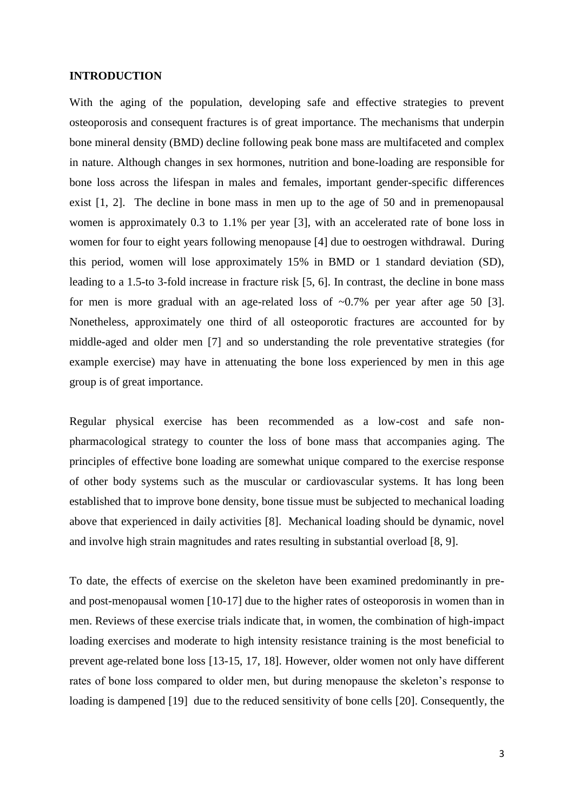#### **INTRODUCTION**

With the aging of the population, developing safe and effective strategies to prevent osteoporosis and consequent fractures is of great importance. The mechanisms that underpin bone mineral density (BMD) decline following peak bone mass are multifaceted and complex in nature. Although changes in sex hormones, nutrition and bone-loading are responsible for bone loss across the lifespan in males and females, important gender-specific differences exist [\[1,](#page-16-0) [2\]](#page-16-1). The decline in bone mass in men up to the age of 50 and in premenopausal women is approximately 0.3 to 1.1% per year [\[3\]](#page-16-2), with an accelerated rate of bone loss in women for four to eight years following menopause [\[4\]](#page-16-3) due to oestrogen withdrawal. During this period, women will lose approximately 15% in BMD or 1 standard deviation (SD), leading to a 1.5-to 3-fold increase in fracture risk [\[5,](#page-16-4) [6\]](#page-16-5). In contrast, the decline in bone mass for men is more gradual with an age-related loss of  $\sim 0.7\%$  per year after age 50 [\[3\]](#page-16-2). Nonetheless, approximately one third of all osteoporotic fractures are accounted for by middle-aged and older men [\[7\]](#page-16-6) and so understanding the role preventative strategies (for example exercise) may have in attenuating the bone loss experienced by men in this age group is of great importance.

Regular physical exercise has been recommended as a low-cost and safe nonpharmacological strategy to counter the loss of bone mass that accompanies aging. The principles of effective bone loading are somewhat unique compared to the exercise response of other body systems such as the muscular or cardiovascular systems. It has long been established that to improve bone density, bone tissue must be subjected to mechanical loading above that experienced in daily activities [\[8\]](#page-16-7). Mechanical loading should be dynamic, novel and involve high strain magnitudes and rates resulting in substantial overload [\[8,](#page-16-7) [9\]](#page-16-8).

To date, the effects of exercise on the skeleton have been examined predominantly in preand post-menopausal women [\[10-17\]](#page-16-9) due to the higher rates of osteoporosis in women than in men. Reviews of these exercise trials indicate that, in women, the combination of high-impact loading exercises and moderate to high intensity resistance training is the most beneficial to prevent age-related bone loss [\[13-15,](#page-16-10) [17,](#page-16-11) [18\]](#page-16-12). However, older women not only have different rates of bone loss compared to older men, but during menopause the skeleton's response to loading is dampened [\[19\]](#page-16-13) due to the reduced sensitivity of bone cells [\[20\]](#page-16-14). Consequently, the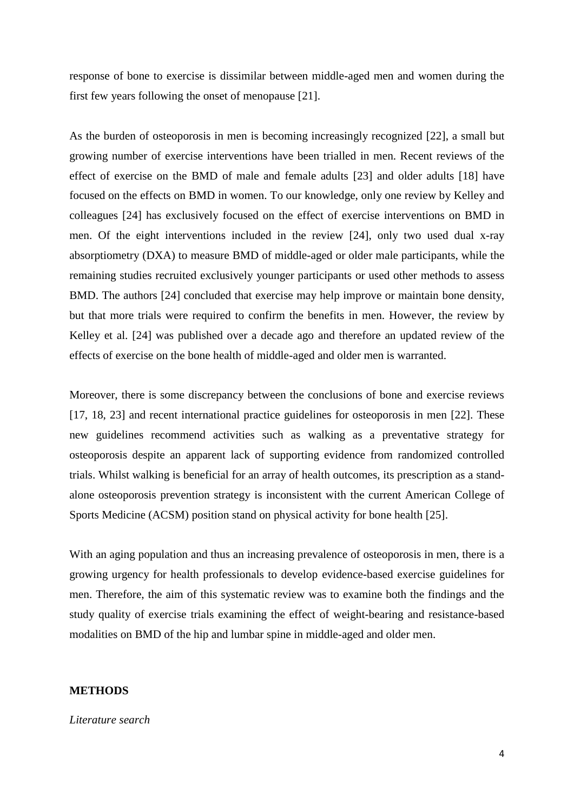response of bone to exercise is dissimilar between middle-aged men and women during the first few years following the onset of menopause [\[21\]](#page-16-15).

As the burden of osteoporosis in men is becoming increasingly recognized [\[22\]](#page-17-0), a small but growing number of exercise interventions have been trialled in men. Recent reviews of the effect of exercise on the BMD of male and female adults [\[23\]](#page-17-1) and older adults [\[18\]](#page-16-12) have focused on the effects on BMD in women. To our knowledge, only one review by Kelley and colleagues [\[24\]](#page-17-2) has exclusively focused on the effect of exercise interventions on BMD in men. Of the eight interventions included in the review [\[24\]](#page-17-2), only two used dual x-ray absorptiometry (DXA) to measure BMD of middle-aged or older male participants, while the remaining studies recruited exclusively younger participants or used other methods to assess BMD. The authors [\[24\]](#page-17-2) concluded that exercise may help improve or maintain bone density, but that more trials were required to confirm the benefits in men. However, the review by Kelley et al. [\[24\]](#page-17-2) was published over a decade ago and therefore an updated review of the effects of exercise on the bone health of middle-aged and older men is warranted.

Moreover, there is some discrepancy between the conclusions of bone and exercise reviews [\[17,](#page-16-11) [18,](#page-16-12) [23\]](#page-17-1) and recent international practice guidelines for osteoporosis in men [\[22\]](#page-17-0). These new guidelines recommend activities such as walking as a preventative strategy for osteoporosis despite an apparent lack of supporting evidence from randomized controlled trials. Whilst walking is beneficial for an array of health outcomes, its prescription as a standalone osteoporosis prevention strategy is inconsistent with the current American College of Sports Medicine (ACSM) position stand on physical activity for bone health [\[25\]](#page-17-3).

With an aging population and thus an increasing prevalence of osteoporosis in men, there is a growing urgency for health professionals to develop evidence-based exercise guidelines for men. Therefore, the aim of this systematic review was to examine both the findings and the study quality of exercise trials examining the effect of weight-bearing and resistance-based modalities on BMD of the hip and lumbar spine in middle-aged and older men.

#### **METHODS**

#### *Literature search*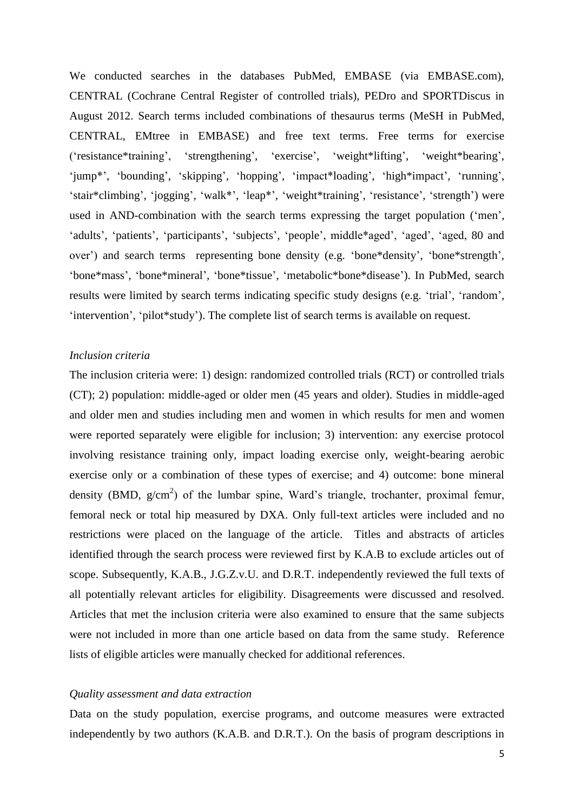We conducted searches in the databases PubMed, EMBASE (via EMBASE.com), CENTRAL (Cochrane Central Register of controlled trials), PEDro and SPORTDiscus in August 2012. Search terms included combinations of thesaurus terms (MeSH in PubMed, CENTRAL, EMtree in EMBASE) and free text terms. Free terms for exercise ('resistance\*training', 'strengthening', 'exercise', 'weight\*lifting', 'weight\*bearing', 'jump\*', 'bounding', 'skipping', 'hopping', 'impact\*loading', 'high\*impact', 'running', 'stair\*climbing', 'jogging', 'walk\*', 'leap\*', 'weight\*training', 'resistance', 'strength') were used in AND-combination with the search terms expressing the target population ('men', 'adults', 'patients', 'participants', 'subjects', 'people', middle\*aged', 'aged', 'aged, 80 and over') and search terms representing bone density (e.g. 'bone\*density', 'bone\*strength', 'bone\*mass', 'bone\*mineral', 'bone\*tissue', 'metabolic\*bone\*disease'). In PubMed, search results were limited by search terms indicating specific study designs (e.g. 'trial', 'random', 'intervention', 'pilot\*study'). The complete list of search terms is available on request.

#### *Inclusion criteria*

The inclusion criteria were: 1) design: randomized controlled trials (RCT) or controlled trials (CT); 2) population: middle-aged or older men (45 years and older). Studies in middle-aged and older men and studies including men and women in which results for men and women were reported separately were eligible for inclusion; 3) intervention: any exercise protocol involving resistance training only, impact loading exercise only, weight-bearing aerobic exercise only or a combination of these types of exercise; and 4) outcome: bone mineral density (BMD,  $g/cm^2$ ) of the lumbar spine, Ward's triangle, trochanter, proximal femur, femoral neck or total hip measured by DXA. Only full-text articles were included and no restrictions were placed on the language of the article. Titles and abstracts of articles identified through the search process were reviewed first by K.A.B to exclude articles out of scope. Subsequently, K.A.B., J.G.Z.v.U. and D.R.T. independently reviewed the full texts of all potentially relevant articles for eligibility. Disagreements were discussed and resolved. Articles that met the inclusion criteria were also examined to ensure that the same subjects were not included in more than one article based on data from the same study. Reference lists of eligible articles were manually checked for additional references.

#### *Quality assessment and data extraction*

Data on the study population, exercise programs, and outcome measures were extracted independently by two authors (K.A.B. and D.R.T.). On the basis of program descriptions in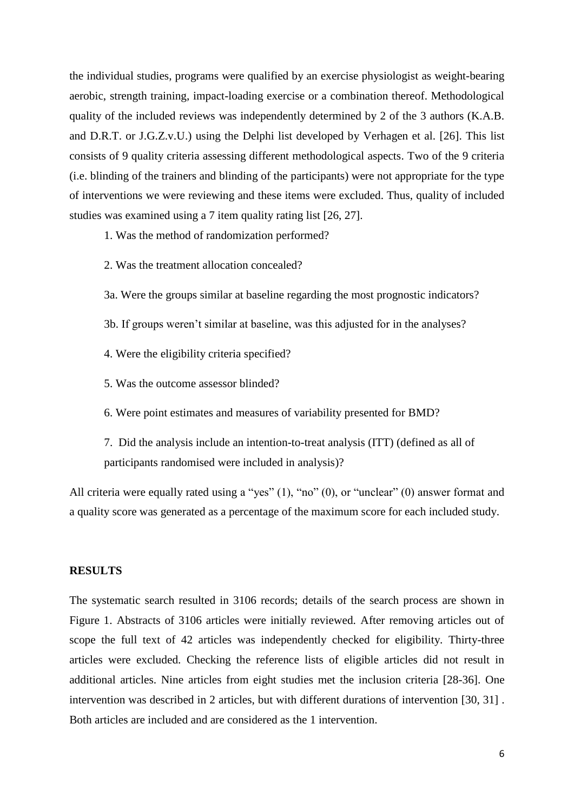the individual studies, programs were qualified by an exercise physiologist as weight-bearing aerobic, strength training, impact-loading exercise or a combination thereof. Methodological quality of the included reviews was independently determined by 2 of the 3 authors (K.A.B. and D.R.T. or J.G.Z.v.U.) using the Delphi list developed by Verhagen et al. [\[26\]](#page-17-4). This list consists of 9 quality criteria assessing different methodological aspects. Two of the 9 criteria (i.e. blinding of the trainers and blinding of the participants) were not appropriate for the type of interventions we were reviewing and these items were excluded. Thus, quality of included studies was examined using a 7 item quality rating list [\[26,](#page-17-4) [27\]](#page-17-5).

1. Was the method of randomization performed?

- 2. Was the treatment allocation concealed?
- 3a. Were the groups similar at baseline regarding the most prognostic indicators?
- 3b. If groups weren't similar at baseline, was this adjusted for in the analyses?
- 4. Were the eligibility criteria specified?
- 5. Was the outcome assessor blinded?
- 6. Were point estimates and measures of variability presented for BMD?
- 7. Did the analysis include an intention-to-treat analysis (ITT) (defined as all of participants randomised were included in analysis)?

All criteria were equally rated using a "yes" (1), "no" (0), or "unclear" (0) answer format and a quality score was generated as a percentage of the maximum score for each included study.

#### **RESULTS**

The systematic search resulted in 3106 records; details of the search process are shown in Figure 1. Abstracts of 3106 articles were initially reviewed. After removing articles out of scope the full text of 42 articles was independently checked for eligibility. Thirty-three articles were excluded. Checking the reference lists of eligible articles did not result in additional articles. Nine articles from eight studies met the inclusion criteria [\[28-36\]](#page-17-6). One intervention was described in 2 articles, but with different durations of intervention [\[30,](#page-17-7) [31\]](#page-17-8) . Both articles are included and are considered as the 1 intervention.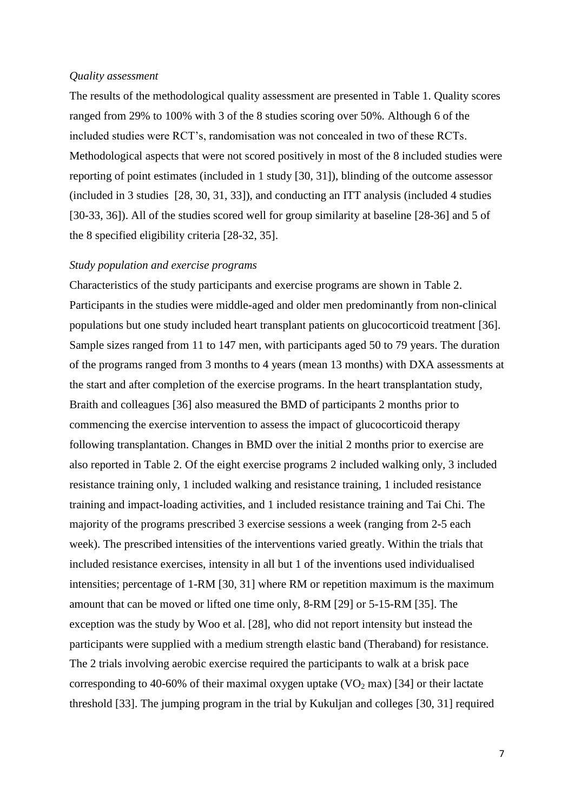#### *Quality assessment*

The results of the methodological quality assessment are presented in Table 1. Quality scores ranged from 29% to 100% with 3 of the 8 studies scoring over 50%. Although 6 of the included studies were RCT's, randomisation was not concealed in two of these RCTs. Methodological aspects that were not scored positively in most of the 8 included studies were reporting of point estimates (included in 1 study [\[30,](#page-17-7) [31\]](#page-17-8)), blinding of the outcome assessor (included in 3 studies [\[28,](#page-17-6) [30,](#page-17-7) [31,](#page-17-8) [33\]](#page-17-9)), and conducting an ITT analysis (included 4 studies [\[30-33,](#page-17-7) [36\]](#page-17-10)). All of the studies scored well for group similarity at baseline [\[28-36\]](#page-17-6) and 5 of the 8 specified eligibility criteria [\[28-32,](#page-17-6) [35\]](#page-17-11).

#### *Study population and exercise programs*

Characteristics of the study participants and exercise programs are shown in Table 2. Participants in the studies were middle-aged and older men predominantly from non-clinical populations but one study included heart transplant patients on glucocorticoid treatment [\[36\]](#page-17-10). Sample sizes ranged from 11 to 147 men, with participants aged 50 to 79 years. The duration of the programs ranged from 3 months to 4 years (mean 13 months) with DXA assessments at the start and after completion of the exercise programs. In the heart transplantation study, Braith and colleagues [\[36\]](#page-17-10) also measured the BMD of participants 2 months prior to commencing the exercise intervention to assess the impact of glucocorticoid therapy following transplantation. Changes in BMD over the initial 2 months prior to exercise are also reported in Table 2. Of the eight exercise programs 2 included walking only, 3 included resistance training only, 1 included walking and resistance training, 1 included resistance training and impact-loading activities, and 1 included resistance training and Tai Chi. The majority of the programs prescribed 3 exercise sessions a week (ranging from 2-5 each week). The prescribed intensities of the interventions varied greatly. Within the trials that included resistance exercises, intensity in all but 1 of the inventions used individualised intensities; percentage of 1-RM [\[30,](#page-17-7) [31\]](#page-17-8) where RM or repetition maximum is the maximum amount that can be moved or lifted one time only, 8-RM [\[29\]](#page-17-12) or 5-15-RM [\[35\]](#page-17-11). The exception was the study by Woo et al. [\[28\]](#page-17-6), who did not report intensity but instead the participants were supplied with a medium strength elastic band (Theraband) for resistance. The 2 trials involving aerobic exercise required the participants to walk at a brisk pace corresponding to 40-60% of their maximal oxygen uptake  $(VO_2 \text{ max})$  [\[34\]](#page-17-13) or their lactate threshold [\[33\]](#page-17-9). The jumping program in the trial by Kukuljan and colleges [\[30,](#page-17-7) [31\]](#page-17-8) required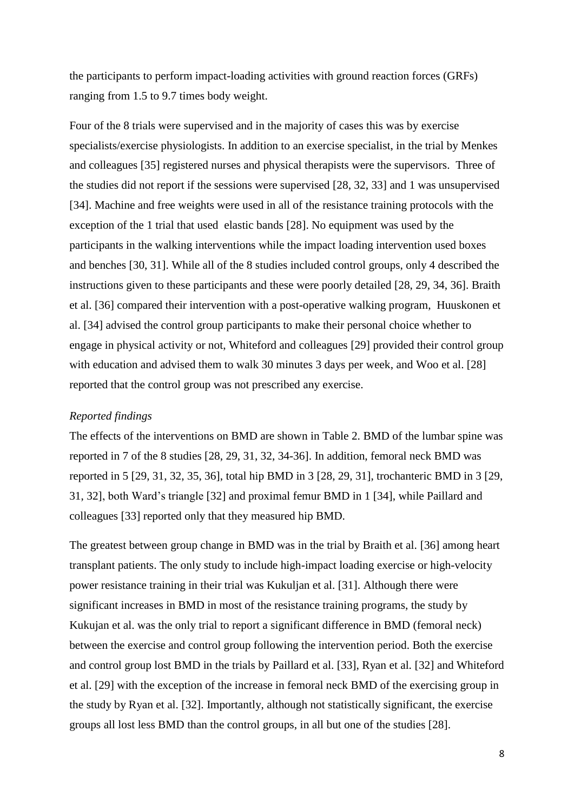the participants to perform impact-loading activities with ground reaction forces (GRFs) ranging from 1.5 to 9.7 times body weight.

Four of the 8 trials were supervised and in the majority of cases this was by exercise specialists/exercise physiologists. In addition to an exercise specialist, in the trial by Menkes and colleagues [\[35\]](#page-17-11) registered nurses and physical therapists were the supervisors. Three of the studies did not report if the sessions were supervised [\[28,](#page-17-6) [32,](#page-17-14) [33\]](#page-17-9) and 1 was unsupervised [\[34\]](#page-17-13). Machine and free weights were used in all of the resistance training protocols with the exception of the 1 trial that used elastic bands [\[28\]](#page-17-6). No equipment was used by the participants in the walking interventions while the impact loading intervention used boxes and benches [\[30,](#page-17-7) [31\]](#page-17-8). While all of the 8 studies included control groups, only 4 described the instructions given to these participants and these were poorly detailed [\[28,](#page-17-6) [29,](#page-17-12) [34,](#page-17-13) [36\]](#page-17-10). Braith et al. [\[36\]](#page-17-10) compared their intervention with a post-operative walking program, Huuskonen et al. [\[34\]](#page-17-13) advised the control group participants to make their personal choice whether to engage in physical activity or not, Whiteford and colleagues [\[29\]](#page-17-12) provided their control group with education and advised them to walk 30 minutes 3 days per week, and Woo et al. [\[28\]](#page-17-6) reported that the control group was not prescribed any exercise.

#### *Reported findings*

The effects of the interventions on BMD are shown in Table 2. BMD of the lumbar spine was reported in 7 of the 8 studies [\[28,](#page-17-6) [29,](#page-17-12) [31,](#page-17-8) [32,](#page-17-14) [34-36\]](#page-17-13). In addition, femoral neck BMD was reported in 5 [\[29,](#page-17-12) [31,](#page-17-8) [32,](#page-17-14) [35,](#page-17-11) [36\]](#page-17-10), total hip BMD in 3 [\[28,](#page-17-6) [29,](#page-17-12) [31\]](#page-17-8), trochanteric BMD in 3 [\[29,](#page-17-12) [31,](#page-17-8) [32\]](#page-17-14), both Ward's triangle [\[32\]](#page-17-14) and proximal femur BMD in 1 [\[34\]](#page-17-13), while Paillard and colleagues [\[33\]](#page-17-9) reported only that they measured hip BMD.

The greatest between group change in BMD was in the trial by Braith et al. [\[36\]](#page-17-10) among heart transplant patients. The only study to include high-impact loading exercise or high-velocity power resistance training in their trial was Kukuljan et al. [\[31\]](#page-17-8). Although there were significant increases in BMD in most of the resistance training programs, the study by Kukujan et al. was the only trial to report a significant difference in BMD (femoral neck) between the exercise and control group following the intervention period. Both the exercise and control group lost BMD in the trials by Paillard et al. [\[33\]](#page-17-9), Ryan et al. [\[32\]](#page-17-14) and Whiteford et al. [\[29\]](#page-17-12) with the exception of the increase in femoral neck BMD of the exercising group in the study by Ryan et al. [\[32\]](#page-17-14). Importantly, although not statistically significant, the exercise groups all lost less BMD than the control groups, in all but one of the studies [\[28\]](#page-17-6).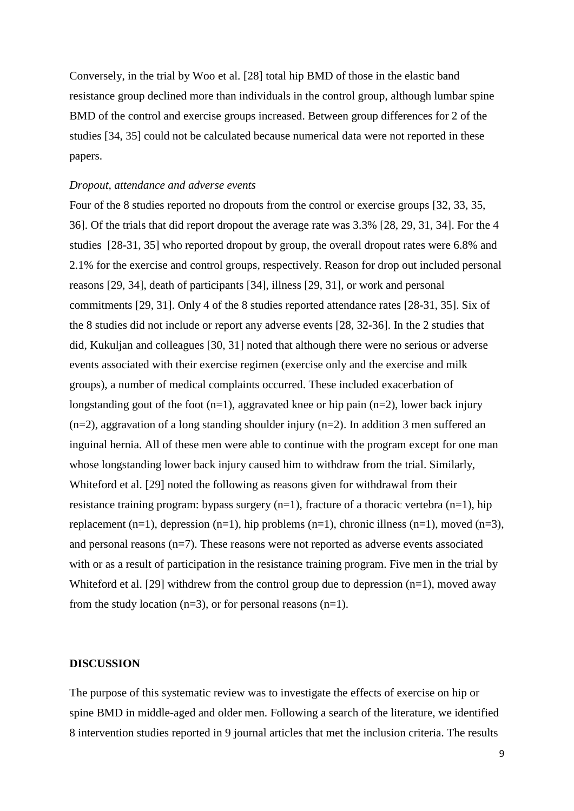Conversely, in the trial by Woo et al. [\[28\]](#page-17-6) total hip BMD of those in the elastic band resistance group declined more than individuals in the control group, although lumbar spine BMD of the control and exercise groups increased. Between group differences for 2 of the studies [\[34,](#page-17-13) [35\]](#page-17-11) could not be calculated because numerical data were not reported in these papers.

#### *Dropout, attendance and adverse events*

Four of the 8 studies reported no dropouts from the control or exercise groups [\[32,](#page-17-14) [33,](#page-17-9) [35,](#page-17-11) [36\]](#page-17-10). Of the trials that did report dropout the average rate was 3.3% [\[28,](#page-17-6) [29,](#page-17-12) [31,](#page-17-8) [34\]](#page-17-13). For the 4 studies [\[28-31,](#page-17-6) [35\]](#page-17-11) who reported dropout by group, the overall dropout rates were 6.8% and 2.1% for the exercise and control groups, respectively. Reason for drop out included personal reasons [\[29,](#page-17-12) [34\]](#page-17-13), death of participants [34], illness [\[29,](#page-17-12) [31\]](#page-17-8), or work and personal commitments [\[29,](#page-17-12) [31\]](#page-17-8). Only 4 of the 8 studies reported attendance rates [\[28-31,](#page-17-6) [35\]](#page-17-11). Six of the 8 studies did not include or report any adverse events [\[28,](#page-17-6) [32-36\]](#page-17-14). In the 2 studies that did, Kukuljan and colleagues [\[30,](#page-17-7) [31\]](#page-17-8) noted that although there were no serious or adverse events associated with their exercise regimen (exercise only and the exercise and milk groups), a number of medical complaints occurred. These included exacerbation of longstanding gout of the foot  $(n=1)$ , aggravated knee or hip pain  $(n=2)$ , lower back injury (n=2), aggravation of a long standing shoulder injury (n=2). In addition 3 men suffered an inguinal hernia. All of these men were able to continue with the program except for one man whose longstanding lower back injury caused him to withdraw from the trial. Similarly, Whiteford et al. [\[29\]](#page-17-12) noted the following as reasons given for withdrawal from their resistance training program: bypass surgery  $(n=1)$ , fracture of a thoracic vertebra  $(n=1)$ , hip replacement (n=1), depression (n=1), hip problems (n=1), chronic illness (n=1), moved (n=3), and personal reasons (n=7). These reasons were not reported as adverse events associated with or as a result of participation in the resistance training program. Five men in the trial by Whiteford et al. [\[29\]](#page-17-12) withdrew from the control group due to depression  $(n=1)$ , moved away from the study location  $(n=3)$ , or for personal reasons  $(n=1)$ .

#### **DISCUSSION**

The purpose of this systematic review was to investigate the effects of exercise on hip or spine BMD in middle-aged and older men. Following a search of the literature, we identified 8 intervention studies reported in 9 journal articles that met the inclusion criteria. The results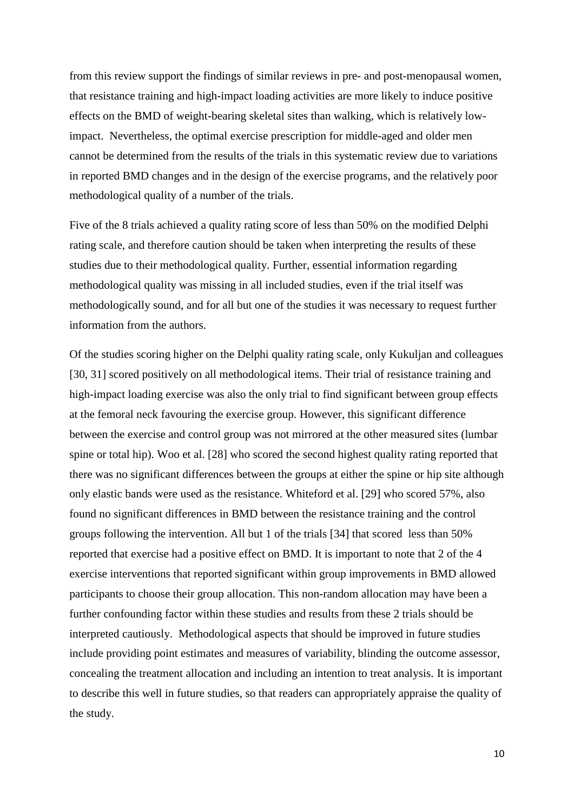from this review support the findings of similar reviews in pre- and post-menopausal women, that resistance training and high-impact loading activities are more likely to induce positive effects on the BMD of weight-bearing skeletal sites than walking, which is relatively lowimpact. Nevertheless, the optimal exercise prescription for middle-aged and older men cannot be determined from the results of the trials in this systematic review due to variations in reported BMD changes and in the design of the exercise programs, and the relatively poor methodological quality of a number of the trials.

Five of the 8 trials achieved a quality rating score of less than 50% on the modified Delphi rating scale, and therefore caution should be taken when interpreting the results of these studies due to their methodological quality. Further, essential information regarding methodological quality was missing in all included studies, even if the trial itself was methodologically sound, and for all but one of the studies it was necessary to request further information from the authors.

Of the studies scoring higher on the Delphi quality rating scale, only Kukuljan and colleagues [\[30,](#page-17-7) [31\]](#page-17-8) scored positively on all methodological items. Their trial of resistance training and high-impact loading exercise was also the only trial to find significant between group effects at the femoral neck favouring the exercise group. However, this significant difference between the exercise and control group was not mirrored at the other measured sites (lumbar spine or total hip). Woo et al. [\[28\]](#page-17-6) who scored the second highest quality rating reported that there was no significant differences between the groups at either the spine or hip site although only elastic bands were used as the resistance. Whiteford et al. [\[29\]](#page-17-12) who scored 57%, also found no significant differences in BMD between the resistance training and the control groups following the intervention. All but 1 of the trials [\[34\]](#page-17-13) that scored less than 50% reported that exercise had a positive effect on BMD. It is important to note that 2 of the 4 exercise interventions that reported significant within group improvements in BMD allowed participants to choose their group allocation. This non-random allocation may have been a further confounding factor within these studies and results from these 2 trials should be interpreted cautiously. Methodological aspects that should be improved in future studies include providing point estimates and measures of variability, blinding the outcome assessor, concealing the treatment allocation and including an intention to treat analysis. It is important to describe this well in future studies, so that readers can appropriately appraise the quality of the study.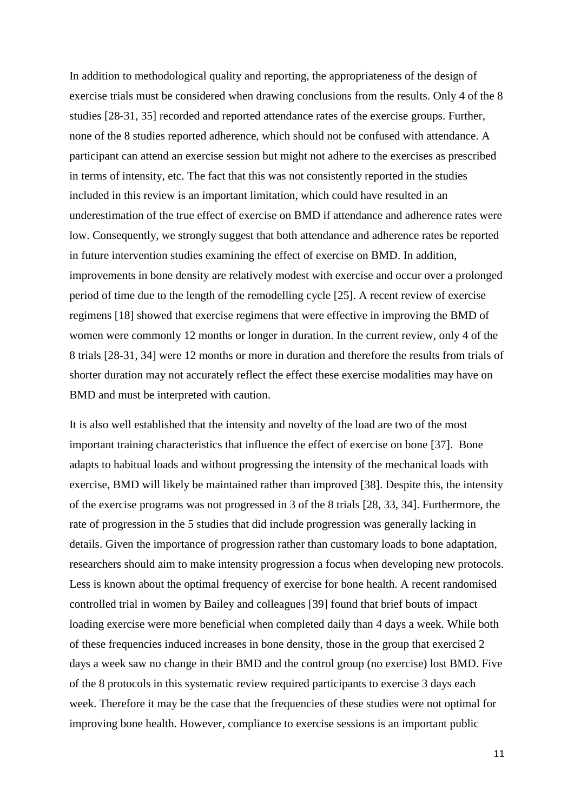In addition to methodological quality and reporting, the appropriateness of the design of exercise trials must be considered when drawing conclusions from the results. Only 4 of the 8 studies [\[28-31,](#page-17-6) [35\]](#page-17-11) recorded and reported attendance rates of the exercise groups. Further, none of the 8 studies reported adherence, which should not be confused with attendance. A participant can attend an exercise session but might not adhere to the exercises as prescribed in terms of intensity, etc. The fact that this was not consistently reported in the studies included in this review is an important limitation, which could have resulted in an underestimation of the true effect of exercise on BMD if attendance and adherence rates were low. Consequently, we strongly suggest that both attendance and adherence rates be reported in future intervention studies examining the effect of exercise on BMD. In addition, improvements in bone density are relatively modest with exercise and occur over a prolonged period of time due to the length of the remodelling cycle [\[25\]](#page-17-3). A recent review of exercise regimens [\[18\]](#page-16-12) showed that exercise regimens that were effective in improving the BMD of women were commonly 12 months or longer in duration. In the current review, only 4 of the 8 trials [\[28-31,](#page-17-6) [34\]](#page-17-13) were 12 months or more in duration and therefore the results from trials of shorter duration may not accurately reflect the effect these exercise modalities may have on BMD and must be interpreted with caution.

It is also well established that the intensity and novelty of the load are two of the most important training characteristics that influence the effect of exercise on bone [\[37\]](#page-17-15). Bone adapts to habitual loads and without progressing the intensity of the mechanical loads with exercise, BMD will likely be maintained rather than improved [\[38\]](#page-17-16). Despite this, the intensity of the exercise programs was not progressed in 3 of the 8 trials [\[28,](#page-17-6) [33,](#page-17-9) [34\]](#page-17-13). Furthermore, the rate of progression in the 5 studies that did include progression was generally lacking in details. Given the importance of progression rather than customary loads to bone adaptation, researchers should aim to make intensity progression a focus when developing new protocols. Less is known about the optimal frequency of exercise for bone health. A recent randomised controlled trial in women by Bailey and colleagues [\[39\]](#page-17-17) found that brief bouts of impact loading exercise were more beneficial when completed daily than 4 days a week. While both of these frequencies induced increases in bone density, those in the group that exercised 2 days a week saw no change in their BMD and the control group (no exercise) lost BMD. Five of the 8 protocols in this systematic review required participants to exercise 3 days each week. Therefore it may be the case that the frequencies of these studies were not optimal for improving bone health. However, compliance to exercise sessions is an important public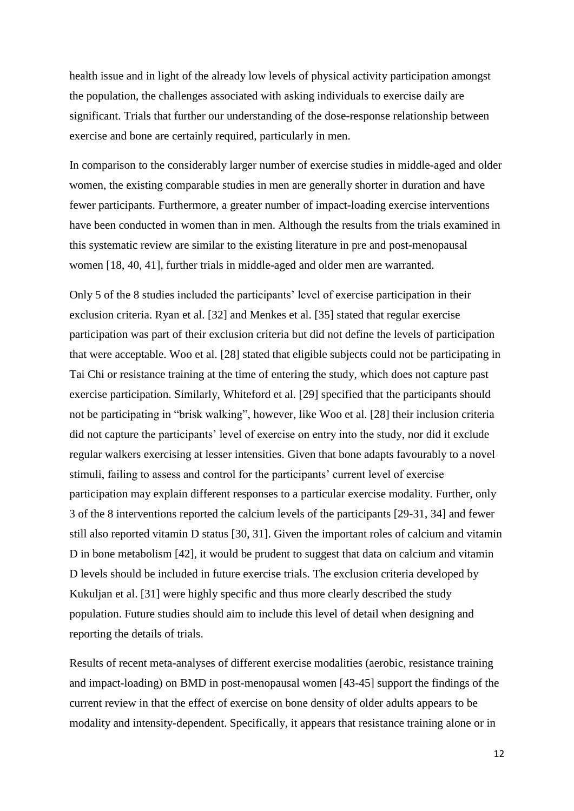health issue and in light of the already low levels of physical activity participation amongst the population, the challenges associated with asking individuals to exercise daily are significant. Trials that further our understanding of the dose-response relationship between exercise and bone are certainly required, particularly in men.

In comparison to the considerably larger number of exercise studies in middle-aged and older women, the existing comparable studies in men are generally shorter in duration and have fewer participants. Furthermore, a greater number of impact-loading exercise interventions have been conducted in women than in men. Although the results from the trials examined in this systematic review are similar to the existing literature in pre and post-menopausal women [\[18,](#page-16-12) [40,](#page-17-18) [41\]](#page-18-0), further trials in middle-aged and older men are warranted.

Only 5 of the 8 studies included the participants' level of exercise participation in their exclusion criteria. Ryan et al. [\[32\]](#page-17-14) and Menkes et al. [\[35\]](#page-17-11) stated that regular exercise participation was part of their exclusion criteria but did not define the levels of participation that were acceptable. Woo et al. [\[28\]](#page-17-6) stated that eligible subjects could not be participating in Tai Chi or resistance training at the time of entering the study, which does not capture past exercise participation. Similarly, Whiteford et al. [\[29\]](#page-17-12) specified that the participants should not be participating in "brisk walking", however, like Woo et al. [\[28\]](#page-17-6) their inclusion criteria did not capture the participants' level of exercise on entry into the study, nor did it exclude regular walkers exercising at lesser intensities. Given that bone adapts favourably to a novel stimuli, failing to assess and control for the participants' current level of exercise participation may explain different responses to a particular exercise modality. Further, only 3 of the 8 interventions reported the calcium levels of the participants [\[29-31,](#page-17-12) [34\]](#page-17-13) and fewer still also reported vitamin D status [\[30,](#page-17-7) [31\]](#page-17-8). Given the important roles of calcium and vitamin D in bone metabolism [\[42\]](#page-18-1), it would be prudent to suggest that data on calcium and vitamin D levels should be included in future exercise trials. The exclusion criteria developed by Kukuljan et al. [\[31\]](#page-17-8) were highly specific and thus more clearly described the study population. Future studies should aim to include this level of detail when designing and reporting the details of trials.

Results of recent meta-analyses of different exercise modalities (aerobic, resistance training and impact-loading) on BMD in post-menopausal women [\[43-45\]](#page-18-2) support the findings of the current review in that the effect of exercise on bone density of older adults appears to be modality and intensity-dependent. Specifically, it appears that resistance training alone or in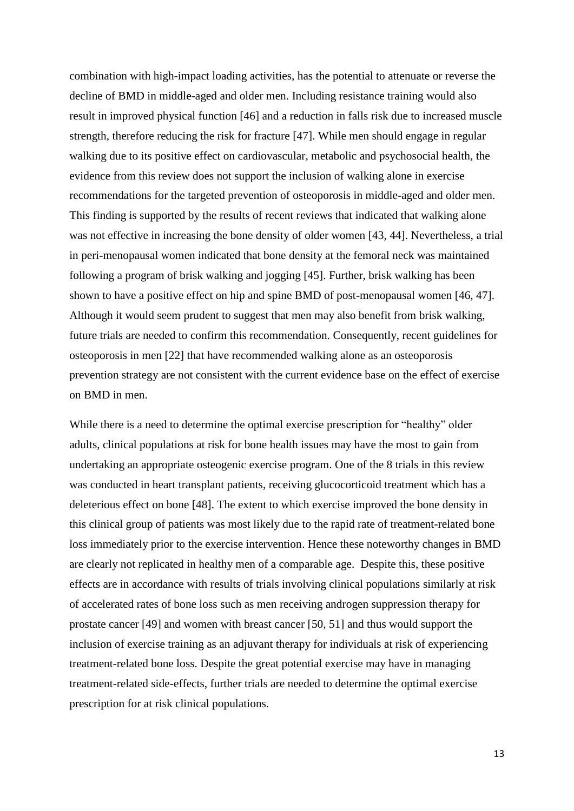combination with high-impact loading activities, has the potential to attenuate or reverse the decline of BMD in middle-aged and older men. Including resistance training would also result in improved physical function [\[46\]](#page-18-3) and a reduction in falls risk due to increased muscle strength, therefore reducing the risk for fracture [\[47\]](#page-18-4). While men should engage in regular walking due to its positive effect on cardiovascular, metabolic and psychosocial health, the evidence from this review does not support the inclusion of walking alone in exercise recommendations for the targeted prevention of osteoporosis in middle-aged and older men. This finding is supported by the results of recent reviews that indicated that walking alone was not effective in increasing the bone density of older women [\[43,](#page-18-2) [44\]](#page-18-5). Nevertheless, a trial in peri-menopausal women indicated that bone density at the femoral neck was maintained following a program of brisk walking and jogging [45]. Further, brisk walking has been shown to have a positive effect on hip and spine BMD of post-menopausal women [46, 47]. Although it would seem prudent to suggest that men may also benefit from brisk walking, future trials are needed to confirm this recommendation. Consequently, recent guidelines for osteoporosis in men [22] that have recommended walking alone as an osteoporosis prevention strategy are not consistent with the current evidence base on the effect of exercise on BMD in men.

While there is a need to determine the optimal exercise prescription for "healthy" older adults, clinical populations at risk for bone health issues may have the most to gain from undertaking an appropriate osteogenic exercise program. One of the 8 trials in this review was conducted in heart transplant patients, receiving glucocorticoid treatment which has a deleterious effect on bone [\[48\]](#page-18-6). The extent to which exercise improved the bone density in this clinical group of patients was most likely due to the rapid rate of treatment-related bone loss immediately prior to the exercise intervention. Hence these noteworthy changes in BMD are clearly not replicated in healthy men of a comparable age. Despite this, these positive effects are in accordance with results of trials involving clinical populations similarly at risk of accelerated rates of bone loss such as men receiving androgen suppression therapy for prostate cancer [\[49\]](#page-18-7) and women with breast cancer [\[50,](#page-18-8) [51\]](#page-18-9) and thus would support the inclusion of exercise training as an adjuvant therapy for individuals at risk of experiencing treatment-related bone loss. Despite the great potential exercise may have in managing treatment-related side-effects, further trials are needed to determine the optimal exercise prescription for at risk clinical populations.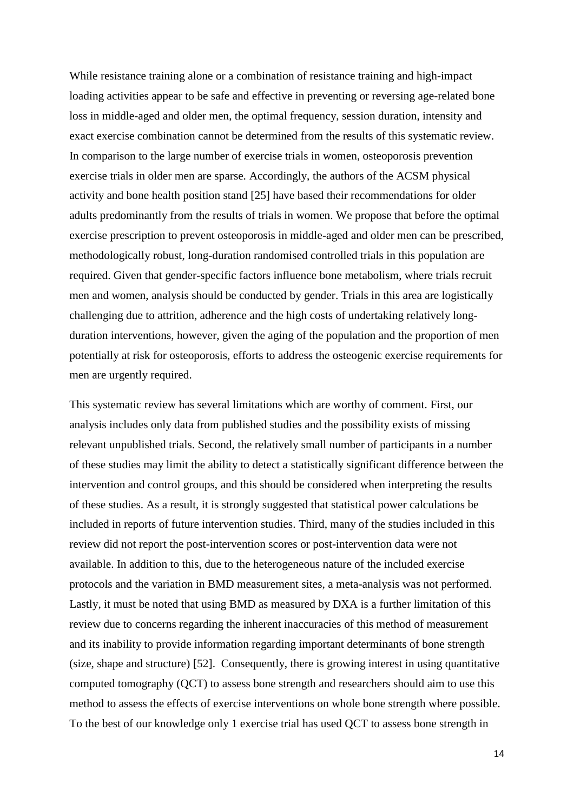While resistance training alone or a combination of resistance training and high-impact loading activities appear to be safe and effective in preventing or reversing age-related bone loss in middle-aged and older men, the optimal frequency, session duration, intensity and exact exercise combination cannot be determined from the results of this systematic review. In comparison to the large number of exercise trials in women, osteoporosis prevention exercise trials in older men are sparse. Accordingly, the authors of the ACSM physical activity and bone health position stand [\[25\]](#page-17-3) have based their recommendations for older adults predominantly from the results of trials in women. We propose that before the optimal exercise prescription to prevent osteoporosis in middle-aged and older men can be prescribed, methodologically robust, long-duration randomised controlled trials in this population are required. Given that gender-specific factors influence bone metabolism, where trials recruit men and women, analysis should be conducted by gender. Trials in this area are logistically challenging due to attrition, adherence and the high costs of undertaking relatively longduration interventions, however, given the aging of the population and the proportion of men potentially at risk for osteoporosis, efforts to address the osteogenic exercise requirements for men are urgently required.

This systematic review has several limitations which are worthy of comment. First, our analysis includes only data from published studies and the possibility exists of missing relevant unpublished trials. Second, the relatively small number of participants in a number of these studies may limit the ability to detect a statistically significant difference between the intervention and control groups, and this should be considered when interpreting the results of these studies. As a result, it is strongly suggested that statistical power calculations be included in reports of future intervention studies. Third, many of the studies included in this review did not report the post-intervention scores or post-intervention data were not available. In addition to this, due to the heterogeneous nature of the included exercise protocols and the variation in BMD measurement sites, a meta-analysis was not performed. Lastly, it must be noted that using BMD as measured by DXA is a further limitation of this review due to concerns regarding the inherent inaccuracies of this method of measurement and its inability to provide information regarding important determinants of bone strength (size, shape and structure) [\[52\]](#page-18-10). Consequently, there is growing interest in using quantitative computed tomography (QCT) to assess bone strength and researchers should aim to use this method to assess the effects of exercise interventions on whole bone strength where possible. To the best of our knowledge only 1 exercise trial has used QCT to assess bone strength in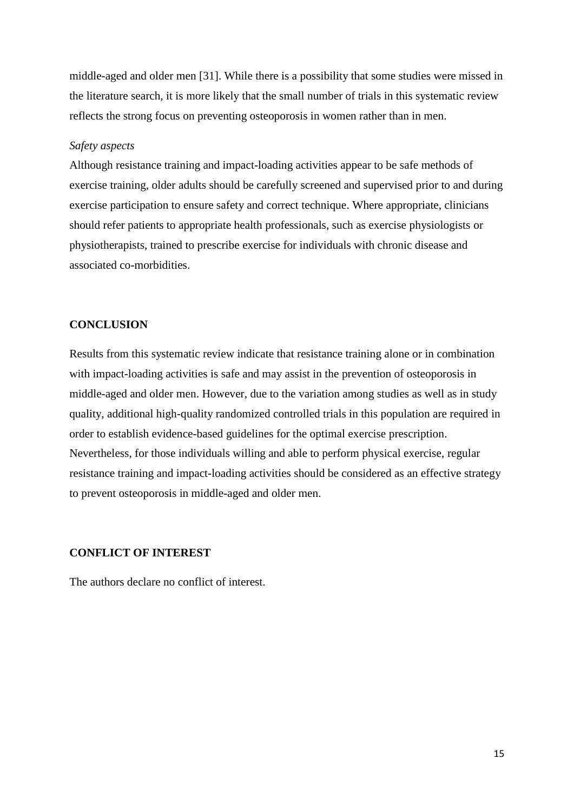middle-aged and older men [\[31\]](#page-17-8). While there is a possibility that some studies were missed in the literature search, it is more likely that the small number of trials in this systematic review reflects the strong focus on preventing osteoporosis in women rather than in men.

#### *Safety aspects*

Although resistance training and impact-loading activities appear to be safe methods of exercise training, older adults should be carefully screened and supervised prior to and during exercise participation to ensure safety and correct technique. Where appropriate, clinicians should refer patients to appropriate health professionals, such as exercise physiologists or physiotherapists, trained to prescribe exercise for individuals with chronic disease and associated co-morbidities.

#### **CONCLUSION**

Results from this systematic review indicate that resistance training alone or in combination with impact-loading activities is safe and may assist in the prevention of osteoporosis in middle-aged and older men. However, due to the variation among studies as well as in study quality, additional high-quality randomized controlled trials in this population are required in order to establish evidence-based guidelines for the optimal exercise prescription. Nevertheless, for those individuals willing and able to perform physical exercise, regular resistance training and impact-loading activities should be considered as an effective strategy to prevent osteoporosis in middle-aged and older men.

## **CONFLICT OF INTEREST**

The authors declare no conflict of interest.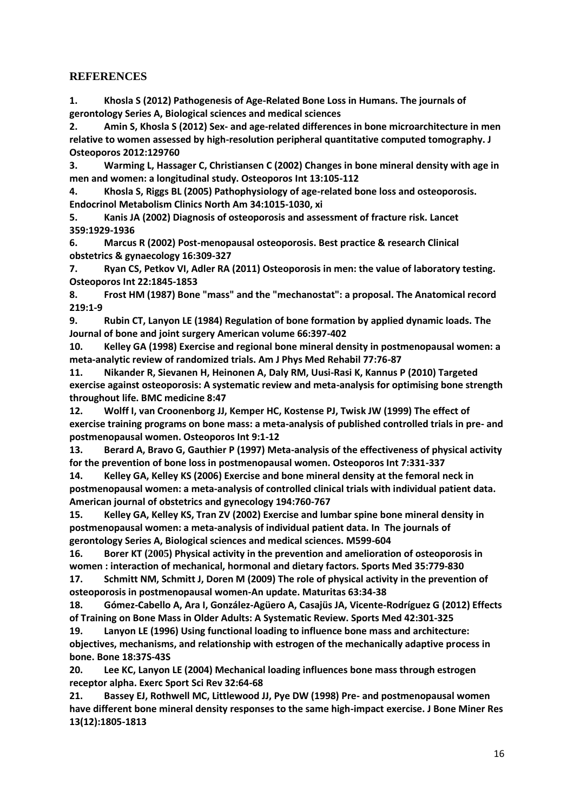## **REFERENCES**

<span id="page-16-0"></span>**1. Khosla S (2012) Pathogenesis of Age-Related Bone Loss in Humans. The journals of gerontology Series A, Biological sciences and medical sciences** 

<span id="page-16-1"></span>**2. Amin S, Khosla S (2012) Sex- and age-related differences in bone microarchitecture in men relative to women assessed by high-resolution peripheral quantitative computed tomography. J Osteoporos 2012:129760**

<span id="page-16-2"></span>**3. Warming L, Hassager C, Christiansen C (2002) Changes in bone mineral density with age in men and women: a longitudinal study. Osteoporos Int 13:105-112**

<span id="page-16-3"></span>**4. Khosla S, Riggs BL (2005) Pathophysiology of age-related bone loss and osteoporosis. Endocrinol Metabolism Clinics North Am 34:1015-1030, xi**

<span id="page-16-4"></span>**5. Kanis JA (2002) Diagnosis of osteoporosis and assessment of fracture risk. Lancet 359:1929-1936**

<span id="page-16-5"></span>**6. Marcus R (2002) Post-menopausal osteoporosis. Best practice & research Clinical obstetrics & gynaecology 16:309-327**

<span id="page-16-6"></span>**7. Ryan CS, Petkov VI, Adler RA (2011) Osteoporosis in men: the value of laboratory testing. Osteoporos Int 22:1845-1853**

<span id="page-16-7"></span>**8. Frost HM (1987) Bone "mass" and the "mechanostat": a proposal. The Anatomical record 219:1-9**

<span id="page-16-8"></span>**9. Rubin CT, Lanyon LE (1984) Regulation of bone formation by applied dynamic loads. The Journal of bone and joint surgery American volume 66:397-402**

<span id="page-16-9"></span>**10. Kelley GA (1998) Exercise and regional bone mineral density in postmenopausal women: a meta-analytic review of randomized trials. Am J Phys Med Rehabil 77:76-87**

**11. Nikander R, Sievanen H, Heinonen A, Daly RM, Uusi-Rasi K, Kannus P (2010) Targeted exercise against osteoporosis: A systematic review and meta-analysis for optimising bone strength throughout life. BMC medicine 8:47**

**12. Wolff I, van Croonenborg JJ, Kemper HC, Kostense PJ, Twisk JW (1999) The effect of exercise training programs on bone mass: a meta-analysis of published controlled trials in pre- and postmenopausal women. Osteoporos Int 9:1-12**

<span id="page-16-10"></span>**13. Berard A, Bravo G, Gauthier P (1997) Meta-analysis of the effectiveness of physical activity for the prevention of bone loss in postmenopausal women. Osteoporos Int 7:331-337**

**14. Kelley GA, Kelley KS (2006) Exercise and bone mineral density at the femoral neck in postmenopausal women: a meta-analysis of controlled clinical trials with individual patient data. American journal of obstetrics and gynecology 194:760-767**

**15. Kelley GA, Kelley KS, Tran ZV (2002) Exercise and lumbar spine bone mineral density in postmenopausal women: a meta-analysis of individual patient data. In The journals of gerontology Series A, Biological sciences and medical sciences. M599-604**

**16. Borer KT (2005) Physical activity in the prevention and amelioration of osteoporosis in women : interaction of mechanical, hormonal and dietary factors. Sports Med 35:779-830**

<span id="page-16-11"></span>**17. Schmitt NM, Schmitt J, Doren M (2009) The role of physical activity in the prevention of osteoporosis in postmenopausal women-An update. Maturitas 63:34-38**

<span id="page-16-12"></span>**18. Gómez-Cabello A, Ara I, González-Agüero A, Casajüs JA, Vicente-Rodríguez G (2012) Effects of Training on Bone Mass in Older Adults: A Systematic Review. Sports Med 42:301-325**

<span id="page-16-13"></span>**19. Lanyon LE (1996) Using functional loading to influence bone mass and architecture: objectives, mechanisms, and relationship with estrogen of the mechanically adaptive process in bone. Bone 18:37S-43S**

<span id="page-16-14"></span>**20. Lee KC, Lanyon LE (2004) Mechanical loading influences bone mass through estrogen receptor alpha. Exerc Sport Sci Rev 32:64-68**

<span id="page-16-15"></span>**21. Bassey EJ, Rothwell MC, Littlewood JJ, Pye DW (1998) Pre- and postmenopausal women have different bone mineral density responses to the same high-impact exercise. J Bone Miner Res 13(12):1805-1813**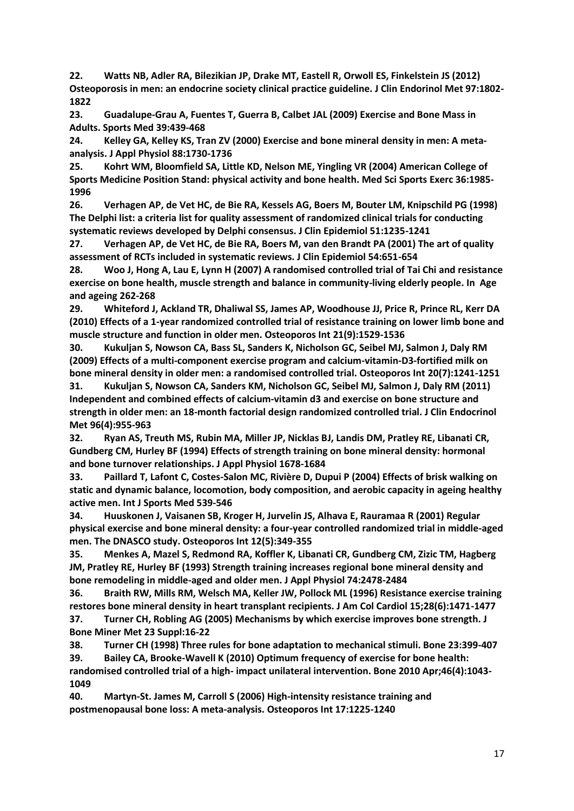<span id="page-17-25"></span><span id="page-17-24"></span><span id="page-17-0"></span>**22. Watts NB, Adler RA, Bilezikian JP, Drake MT, Eastell R, Orwoll ES, Finkelstein JS (2012) Osteoporosis in men: an endocrine society clinical practice guideline. J Clin Endorinol Met 97:1802- 1822**

<span id="page-17-1"></span>**23. Guadalupe-Grau A, Fuentes T, Guerra B, Calbet JAL (2009) Exercise and Bone Mass in Adults. Sports Med 39:439-468**

<span id="page-17-20"></span><span id="page-17-2"></span>**24. Kelley GA, Kelley KS, Tran ZV (2000) Exercise and bone mineral density in men: A metaanalysis. J Appl Physiol 88:1730-1736**

<span id="page-17-3"></span>**25. Kohrt WM, Bloomfield SA, Little KD, Nelson ME, Yingling VR (2004) American College of Sports Medicine Position Stand: physical activity and bone health. Med Sci Sports Exerc 36:1985- 1996**

<span id="page-17-23"></span><span id="page-17-4"></span>**26. Verhagen AP, de Vet HC, de Bie RA, Kessels AG, Boers M, Bouter LM, Knipschild PG (1998) The Delphi list: a criteria list for quality assessment of randomized clinical trials for conducting systematic reviews developed by Delphi consensus. J Clin Epidemiol 51:1235-1241**

<span id="page-17-22"></span><span id="page-17-5"></span>**27. Verhagen AP, de Vet HC, de Bie RA, Boers M, van den Brandt PA (2001) The art of quality assessment of RCTs included in systematic reviews. J Clin Epidemiol 54:651-654**

<span id="page-17-6"></span>**28. Woo J, Hong A, Lau E, Lynn H (2007) A randomised controlled trial of Tai Chi and resistance exercise on bone health, muscle strength and balance in community-living elderly people. In Age and ageing 262-268**

<span id="page-17-21"></span><span id="page-17-12"></span>**29. Whiteford J, Ackland TR, Dhaliwal SS, James AP, Woodhouse JJ, Price R, Prince RL, Kerr DA (2010) Effects of a 1-year randomized controlled trial of resistance training on lower limb bone and muscle structure and function in older men. Osteoporos Int 21(9):1529-1536** 

<span id="page-17-19"></span><span id="page-17-7"></span>**30. Kukuljan S, Nowson CA, Bass SL, Sanders K, Nicholson GC, Seibel MJ, Salmon J, Daly RM (2009) Effects of a multi-component exercise program and calcium-vitamin-D3-fortified milk on bone mineral density in older men: a randomised controlled trial. Osteoporos Int 20(7):1241-1251** 

<span id="page-17-8"></span>**31. Kukuljan S, Nowson CA, Sanders KM, Nicholson GC, Seibel MJ, Salmon J, Daly RM (2011) Independent and combined effects of calcium-vitamin d3 and exercise on bone structure and strength in older men: an 18-month factorial design randomized controlled trial. J Clin Endocrinol Met 96(4):955-963** 

<span id="page-17-14"></span>**32. Ryan AS, Treuth MS, Rubin MA, Miller JP, Nicklas BJ, Landis DM, Pratley RE, Libanati CR, Gundberg CM, Hurley BF (1994) Effects of strength training on bone mineral density: hormonal and bone turnover relationships. J Appl Physiol 1678-1684**

<span id="page-17-9"></span>**33. Paillard T, Lafont C, Costes-Salon MC, Rivière D, Dupui P (2004) Effects of brisk walking on static and dynamic balance, locomotion, body composition, and aerobic capacity in ageing healthy active men. Int J Sports Med 539-546**

<span id="page-17-13"></span>**34. Huuskonen J, Vaisanen SB, Kroger H, Jurvelin JS, Alhava E, Rauramaa R (2001) Regular physical exercise and bone mineral density: a four-year controlled randomized trial in middle-aged men. The DNASCO study. Osteoporos Int 12(5):349-355** 

<span id="page-17-11"></span>**35. Menkes A, Mazel S, Redmond RA, Koffler K, Libanati CR, Gundberg CM, Zizic TM, Hagberg JM, Pratley RE, Hurley BF (1993) Strength training increases regional bone mineral density and bone remodeling in middle-aged and older men. J Appl Physiol 74:2478-2484**

<span id="page-17-10"></span>**36. Braith RW, Mills RM, Welsch MA, Keller JW, Pollock ML (1996) Resistance exercise training restores bone mineral density in heart transplant recipients. J Am Col Cardiol 15;28(6):1471-1477 37. Turner CH, Robling AG (2005) Mechanisms by which exercise improves bone strength. J** 

<span id="page-17-15"></span>**Bone Miner Met 23 Suppl:16-22**

<span id="page-17-16"></span>**38. Turner CH (1998) Three rules for bone adaptation to mechanical stimuli. Bone 23:399-407 39. Bailey CA, Brooke-Wavell K (2010) Optimum frequency of exercise for bone health:** 

<span id="page-17-17"></span>**randomised controlled trial of a high- impact unilateral intervention. Bone 2010 Apr;46(4):1043- 1049** 

<span id="page-17-18"></span>**40. Martyn-St. James M, Carroll S (2006) High-intensity resistance training and postmenopausal bone loss: A meta-analysis. Osteoporos Int 17:1225-1240**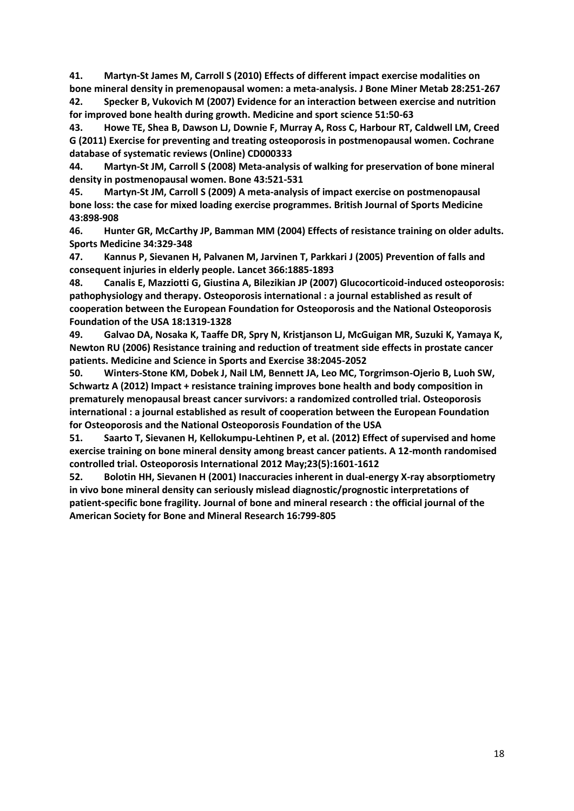<span id="page-18-0"></span>**41. Martyn-St James M, Carroll S (2010) Effects of different impact exercise modalities on bone mineral density in premenopausal women: a meta-analysis. J Bone Miner Metab 28:251-267**

<span id="page-18-1"></span>**42. Specker B, Vukovich M (2007) Evidence for an interaction between exercise and nutrition for improved bone health during growth. Medicine and sport science 51:50-63**

<span id="page-18-2"></span>**43. Howe TE, Shea B, Dawson LJ, Downie F, Murray A, Ross C, Harbour RT, Caldwell LM, Creed G (2011) Exercise for preventing and treating osteoporosis in postmenopausal women. Cochrane database of systematic reviews (Online) CD000333**

<span id="page-18-5"></span>**44. Martyn-St JM, Carroll S (2008) Meta-analysis of walking for preservation of bone mineral density in postmenopausal women. Bone 43:521-531**

**45. Martyn-St JM, Carroll S (2009) A meta-analysis of impact exercise on postmenopausal bone loss: the case for mixed loading exercise programmes. British Journal of Sports Medicine 43:898-908**

<span id="page-18-3"></span>**46. Hunter GR, McCarthy JP, Bamman MM (2004) Effects of resistance training on older adults. Sports Medicine 34:329-348**

<span id="page-18-4"></span>**47. Kannus P, Sievanen H, Palvanen M, Jarvinen T, Parkkari J (2005) Prevention of falls and consequent injuries in elderly people. Lancet 366:1885-1893**

<span id="page-18-6"></span>**48. Canalis E, Mazziotti G, Giustina A, Bilezikian JP (2007) Glucocorticoid-induced osteoporosis: pathophysiology and therapy. Osteoporosis international : a journal established as result of cooperation between the European Foundation for Osteoporosis and the National Osteoporosis Foundation of the USA 18:1319-1328**

<span id="page-18-7"></span>**49. Galvao DA, Nosaka K, Taaffe DR, Spry N, Kristjanson LJ, McGuigan MR, Suzuki K, Yamaya K, Newton RU (2006) Resistance training and reduction of treatment side effects in prostate cancer patients. Medicine and Science in Sports and Exercise 38:2045-2052**

<span id="page-18-8"></span>**50. Winters-Stone KM, Dobek J, Nail LM, Bennett JA, Leo MC, Torgrimson-Ojerio B, Luoh SW, Schwartz A (2012) Impact + resistance training improves bone health and body composition in prematurely menopausal breast cancer survivors: a randomized controlled trial. Osteoporosis international : a journal established as result of cooperation between the European Foundation for Osteoporosis and the National Osteoporosis Foundation of the USA** 

<span id="page-18-9"></span>**51. Saarto T, Sievanen H, Kellokumpu-Lehtinen P, et al. (2012) Effect of supervised and home exercise training on bone mineral density among breast cancer patients. A 12-month randomised controlled trial. Osteoporosis International 2012 May;23(5):1601-1612** 

<span id="page-18-10"></span>**52. Bolotin HH, Sievanen H (2001) Inaccuracies inherent in dual-energy X-ray absorptiometry in vivo bone mineral density can seriously mislead diagnostic/prognostic interpretations of patient-specific bone fragility. Journal of bone and mineral research : the official journal of the American Society for Bone and Mineral Research 16:799-805**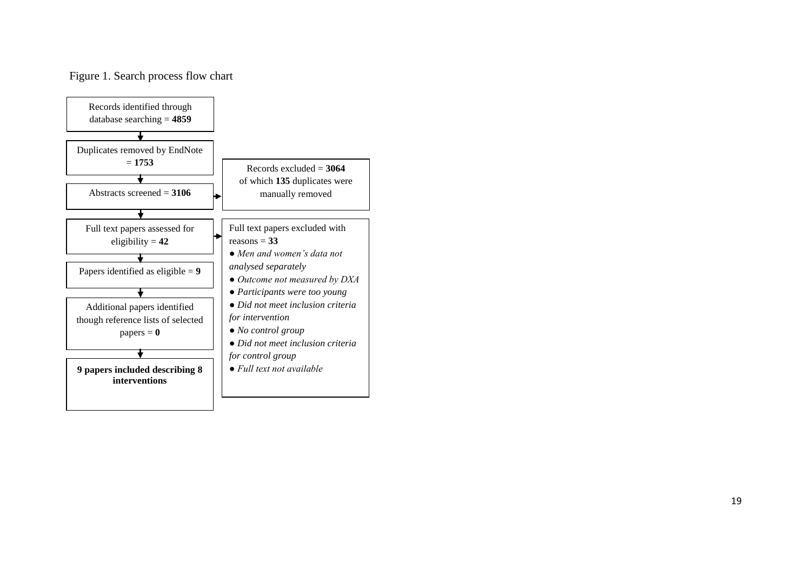## Figure 1. Search process flow chart

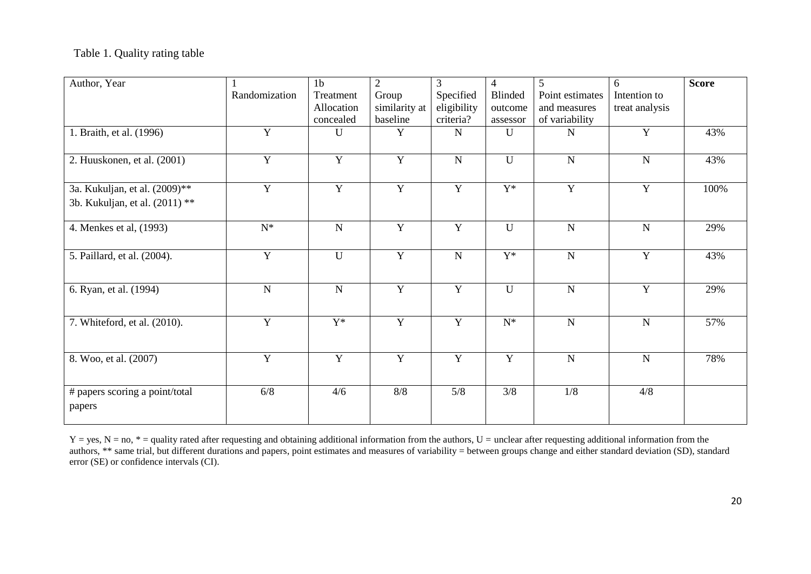## Table 1. Quality rating table

| Author, Year                             |                | 1 <sub>b</sub> | $\overline{2}$ | 3              | $\overline{4}$   | 5               | 6              | <b>Score</b> |
|------------------------------------------|----------------|----------------|----------------|----------------|------------------|-----------------|----------------|--------------|
|                                          | Randomization  | Treatment      | Group          | Specified      | <b>Blinded</b>   | Point estimates | Intention to   |              |
|                                          |                | Allocation     | similarity at  | eligibility    | outcome          | and measures    | treat analysis |              |
|                                          |                | concealed      | baseline       | criteria?      | assessor         | of variability  |                |              |
| 1. Braith, et al. (1996)                 | $\overline{Y}$ | U              | Y              | ${\bf N}$      | U                | ${\bf N}$       | $\overline{Y}$ | 43%          |
| 2. Huuskonen, et al. (2001)              | $\overline{Y}$ | $\overline{Y}$ | $\overline{Y}$ | ${\bf N}$      | U                | $\mathbf N$     | ${\bf N}$      | 43%          |
| 3a. Kukuljan, et al. (2009)**            | Y              | $\overline{Y}$ | $\overline{Y}$ | $\overline{Y}$ | $\overline{Y^*}$ | $\overline{Y}$  | $\overline{Y}$ | 100%         |
| 3b. Kukuljan, et al. (2011) **           |                |                |                |                |                  |                 |                |              |
| 4. Menkes et al, (1993)                  | $N^*$          | ${\bf N}$      | Y              | Y              | U                | $\mathbf N$     | ${\bf N}$      | 29%          |
| 5. Paillard, et al. (2004).              | $\overline{Y}$ | $\mathbf U$    | Y              | ${\bf N}$      | $Y^*$            | $\mathbf N$     | $\overline{Y}$ | 43%          |
| 6. Ryan, et al. (1994)                   | ${\bf N}$      | ${\bf N}$      | $\mathbf Y$    | Y              | U                | ${\bf N}$       | $\mathbf Y$    | 29%          |
| 7. Whiteford, et al. (2010).             | $\mathbf Y$    | $\mathbf{Y}^*$ | Y              | Y              | $N^*$            | $\mathbf N$     | ${\bf N}$      | 57%          |
| 8. Woo, et al. (2007)                    | Y              | Y              | Y              | Y              | Y                | $\mathbf N$     | ${\bf N}$      | 78%          |
| # papers scoring a point/total<br>papers | 6/8            | 4/6            | 8/8            | 5/8            | 3/8              | 1/8             | 4/8            |              |

 $Y = yes$ ,  $N = no$ ,  $* =$  quality rated after requesting and obtaining additional information from the authors,  $U =$  unclear after requesting additional information from the authors, \*\* same trial, but different durations and papers, point estimates and measures of variability = between groups change and either standard deviation (SD), standard error (SE) or confidence intervals (CI).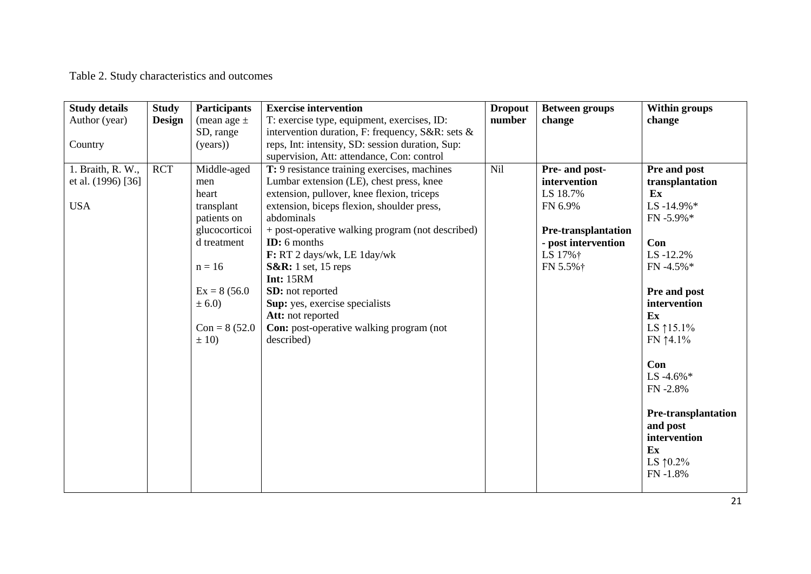Table 2. Study characteristics and outcomes

| <b>Study details</b> | <b>Study</b>  | <b>Participants</b> | <b>Exercise intervention</b>                     | <b>Dropout</b> | <b>Between groups</b>      | <b>Within groups</b>       |
|----------------------|---------------|---------------------|--------------------------------------------------|----------------|----------------------------|----------------------------|
| Author (year)        | <b>Design</b> | (mean age $\pm$     | T: exercise type, equipment, exercises, ID:      | number         | change                     | change                     |
|                      |               | SD, range           | intervention duration, F: frequency, S&R: sets & |                |                            |                            |
| Country              |               | (years))            | reps, Int: intensity, SD: session duration, Sup: |                |                            |                            |
|                      |               |                     | supervision, Att: attendance, Con: control       |                |                            |                            |
| 1. Braith, R. W.,    | <b>RCT</b>    | Middle-aged         | T: 9 resistance training exercises, machines     | Nil            | Pre- and post-             | Pre and post               |
| et al. (1996) [36]   |               | men                 | Lumbar extension (LE), chest press, knee         |                | intervention               | transplantation            |
|                      |               | heart               | extension, pullover, knee flexion, triceps       |                | LS 18.7%                   | Ex                         |
| <b>USA</b>           |               | transplant          | extension, biceps flexion, shoulder press,       |                | FN 6.9%                    | LS-14.9%*                  |
|                      |               | patients on         | abdominals                                       |                |                            | $FN - 5.9\% *$             |
|                      |               | glucocorticoi       | + post-operative walking program (not described) |                | <b>Pre-transplantation</b> |                            |
|                      |               | d treatment         | <b>ID:</b> 6 months                              |                | - post intervention        | Con                        |
|                      |               |                     | F: RT 2 days/wk, LE 1day/wk                      |                | LS 17%†                    | LS-12.2%                   |
|                      |               | $n = 16$            | <b>S&amp;R:</b> 1 set, 15 reps                   |                | FN 5.5%†                   | FN -4.5%*                  |
|                      |               |                     | <b>Int: 15RM</b>                                 |                |                            |                            |
|                      |               | $Ex = 8(56.0)$      | SD: not reported                                 |                |                            | Pre and post               |
|                      |               | $\pm$ 6.0)          | Sup: yes, exercise specialists                   |                |                            | intervention               |
|                      |               |                     | Att: not reported                                |                |                            | Ex                         |
|                      |               | $Con = 8 (52.0)$    | Con: post-operative walking program (not         |                |                            | LS $\uparrow$ 15.1%        |
|                      |               | $\pm$ 10)           | described)                                       |                |                            | $FN$ $1\%$                 |
|                      |               |                     |                                                  |                |                            | Con                        |
|                      |               |                     |                                                  |                |                            | LS -4.6% $*$               |
|                      |               |                     |                                                  |                |                            | FN -2.8%                   |
|                      |               |                     |                                                  |                |                            |                            |
|                      |               |                     |                                                  |                |                            | <b>Pre-transplantation</b> |
|                      |               |                     |                                                  |                |                            | and post                   |
|                      |               |                     |                                                  |                |                            | intervention               |
|                      |               |                     |                                                  |                |                            | Ex                         |
|                      |               |                     |                                                  |                |                            | LS $\uparrow$ 0.2%         |
|                      |               |                     |                                                  |                |                            | $FN -1.8%$                 |
|                      |               |                     |                                                  |                |                            |                            |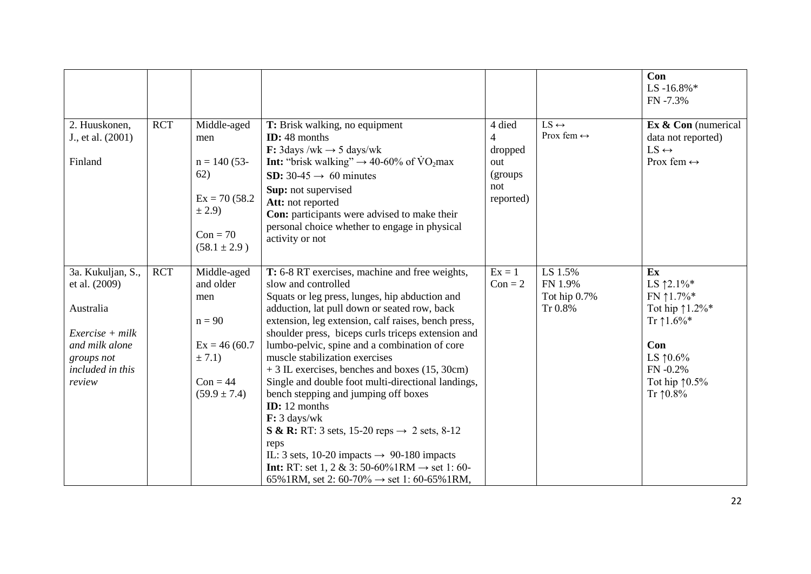|                                                                                                                                    |            |                                                                                                                |                                                                                                                                                                                                                                                                                                                                                                                                                                                                                                                                                                                                                                                                                                                                                                                                                                                   |                                                                            |                                                    | Con<br>LS-16.8%*<br>FN -7.3%                                                                                                                                                        |
|------------------------------------------------------------------------------------------------------------------------------------|------------|----------------------------------------------------------------------------------------------------------------|---------------------------------------------------------------------------------------------------------------------------------------------------------------------------------------------------------------------------------------------------------------------------------------------------------------------------------------------------------------------------------------------------------------------------------------------------------------------------------------------------------------------------------------------------------------------------------------------------------------------------------------------------------------------------------------------------------------------------------------------------------------------------------------------------------------------------------------------------|----------------------------------------------------------------------------|----------------------------------------------------|-------------------------------------------------------------------------------------------------------------------------------------------------------------------------------------|
| 2. Huuskonen,<br>J., et al. (2001)<br>Finland                                                                                      | <b>RCT</b> | Middle-aged<br>men<br>$n = 140(53 -$<br>62)<br>$Ex = 70(58.2)$<br>$\pm$ 2.9)<br>$Con = 70$<br>$(58.1 \pm 2.9)$ | <b>T:</b> Brisk walking, no equipment<br>ID: $48$ months<br><b>F:</b> 3days /wk $\rightarrow$ 5 days/wk<br><b>Int:</b> "brisk walking" $\rightarrow$ 40-60% of VO <sub>2</sub> max<br><b>SD:</b> 30-45 $\rightarrow$ 60 minutes<br>Sup: not supervised<br>Att: not reported<br>Con: participants were advised to make their<br>personal choice whether to engage in physical<br>activity or not                                                                                                                                                                                                                                                                                                                                                                                                                                                   | 4 died<br>$\overline{4}$<br>dropped<br>out<br>(groups)<br>not<br>reported) | $LS \leftrightarrow$<br>Prox fem $\leftrightarrow$ | Ex $\&$ Con (numerical<br>data not reported)<br>$LS \leftrightarrow$<br>Prox fem $\leftrightarrow$                                                                                  |
| 3a. Kukuljan, S.,<br>et al. (2009)<br>Australia<br>$Exercise + milk$<br>and milk alone<br>groups not<br>included in this<br>review | <b>RCT</b> | Middle-aged<br>and older<br>men<br>$n = 90$<br>$Ex = 46(60.7)$<br>$\pm$ 7.1)<br>$Con = 44$<br>$(59.9 \pm 7.4)$ | T: 6-8 RT exercises, machine and free weights,<br>slow and controlled<br>Squats or leg press, lunges, hip abduction and<br>adduction, lat pull down or seated row, back<br>extension, leg extension, calf raises, bench press,<br>shoulder press, biceps curls triceps extension and<br>lumbo-pelvic, spine and a combination of core<br>muscle stabilization exercises<br>$+3$ IL exercises, benches and boxes (15, 30cm)<br>Single and double foot multi-directional landings,<br>bench stepping and jumping off boxes<br><b>ID:</b> 12 months<br>$\mathbf{F: } 3 \text{ days/wk}$<br>S & R: RT: 3 sets, 15-20 reps $\rightarrow$ 2 sets, 8-12<br>reps<br>IL: 3 sets, 10-20 impacts $\rightarrow$ 90-180 impacts<br><b>Int:</b> RT: set 1, 2 & 3: 50-60%1RM $\rightarrow$ set 1: 60-<br>65% 1RM, set 2: 60-70% $\rightarrow$ set 1: 60-65% 1RM, | $Ex = 1$<br>$Con = 2$                                                      | LS 1.5%<br>FN 1.9%<br>Tot hip 0.7%<br>Tr 0.8%      | Ex<br>LS $12.1\%$ *<br>$FN$ $1.7\%*$<br>Tot hip $\uparrow$ 1.2%*<br>$Tr \uparrow 1.6\%$ *<br>Con<br>LS $\uparrow$ 0.6%<br>FN -0.2%<br>Tot hip $\uparrow$ 0.5%<br>Tr $\uparrow$ 0.8% |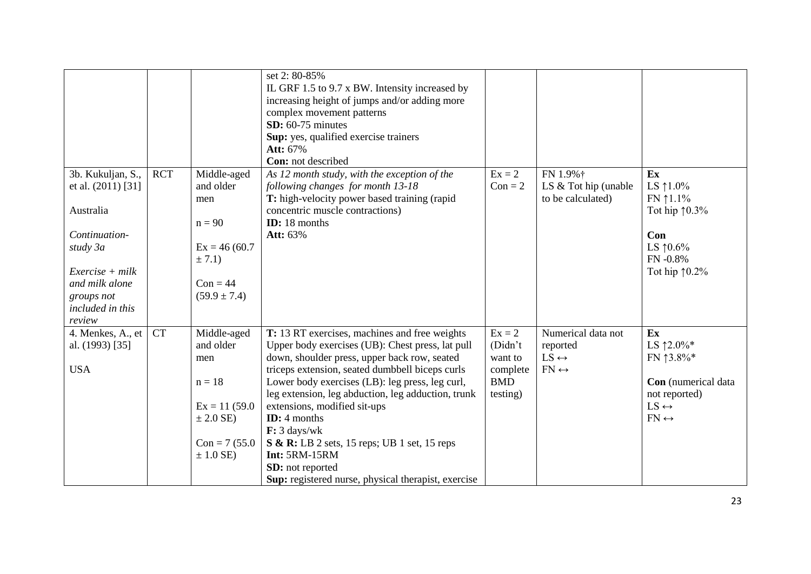|                    |            |                  | set 2: 80-85%<br>IL GRF 1.5 to 9.7 x BW. Intensity increased by<br>increasing height of jumps and/or adding more<br>complex movement patterns<br>$SD: 60-75$ minutes<br>Sup: yes, qualified exercise trainers<br>Att: 67%<br>Con: not described |                        |                      |                         |
|--------------------|------------|------------------|-------------------------------------------------------------------------------------------------------------------------------------------------------------------------------------------------------------------------------------------------|------------------------|----------------------|-------------------------|
| 3b. Kukuljan, S.,  | <b>RCT</b> | Middle-aged      | As 12 month study, with the exception of the                                                                                                                                                                                                    | $Ex = 2$               | FN 1.9%†             | Ex                      |
| et al. (2011) [31] |            | and older        | following changes for month 13-18                                                                                                                                                                                                               | $Con = 2$              | LS & Tot hip (unable | LS $\uparrow$ 1.0%      |
|                    |            | men              | T: high-velocity power based training (rapid                                                                                                                                                                                                    |                        | to be calculated)    | $FN$ $\uparrow$ 1.1%    |
| Australia          |            |                  | concentric muscle contractions)                                                                                                                                                                                                                 |                        |                      | Tot hip $\uparrow$ 0.3% |
| Continuation-      |            | $n = 90$         | ID: 18 months<br>Att: 63%                                                                                                                                                                                                                       |                        |                      | Con                     |
| study 3a           |            | $Ex = 46(60.7)$  |                                                                                                                                                                                                                                                 |                        |                      | LS $\uparrow$ 0.6%      |
|                    |            | $\pm$ 7.1)       |                                                                                                                                                                                                                                                 |                        |                      | FN -0.8%                |
| $Exercise + milk$  |            |                  |                                                                                                                                                                                                                                                 |                        |                      | Tot hip $\uparrow$ 0.2% |
| and milk alone     |            | $Con = 44$       |                                                                                                                                                                                                                                                 |                        |                      |                         |
| groups not         |            | $(59.9 \pm 7.4)$ |                                                                                                                                                                                                                                                 |                        |                      |                         |
| included in this   |            |                  |                                                                                                                                                                                                                                                 |                        |                      |                         |
| review             |            |                  |                                                                                                                                                                                                                                                 |                        |                      |                         |
| 4. Menkes, A., et  | <b>CT</b>  | Middle-aged      | T: 13 RT exercises, machines and free weights                                                                                                                                                                                                   | $Ex = 2$               | Numerical data not   | Ex                      |
| al. (1993) [35]    |            | and older        | Upper body exercises (UB): Chest press, lat pull                                                                                                                                                                                                | (Didn't                | reported             | LS $12.0\%*$            |
| <b>USA</b>         |            | men              | down, shoulder press, upper back row, seated                                                                                                                                                                                                    | want to                | $LS \leftrightarrow$ | FN 13.8%*               |
|                    |            | $n = 18$         | triceps extension, seated dumbbell biceps curls<br>Lower body exercises (LB): leg press, leg curl,                                                                                                                                              | complete<br><b>BMD</b> | $FN \leftrightarrow$ | Con (numerical data     |
|                    |            |                  | leg extension, leg abduction, leg adduction, trunk                                                                                                                                                                                              | testing)               |                      | not reported)           |
|                    |            | $Ex = 11(59.0)$  | extensions, modified sit-ups                                                                                                                                                                                                                    |                        |                      | $LS \leftrightarrow$    |
|                    |            | $\pm$ 2.0 SE)    | <b>ID:</b> 4 months                                                                                                                                                                                                                             |                        |                      | $FN \leftrightarrow$    |
|                    |            |                  | $\mathbf{F: } 3 \text{ days/wk}$                                                                                                                                                                                                                |                        |                      |                         |
|                    |            | $Con = 7 (55.0)$ | <b>S &amp; R:</b> LB 2 sets, 15 reps; UB 1 set, 15 reps                                                                                                                                                                                         |                        |                      |                         |
|                    |            | $\pm$ 1.0 SE)    | Int: 5RM-15RM                                                                                                                                                                                                                                   |                        |                      |                         |
|                    |            |                  | SD: not reported                                                                                                                                                                                                                                |                        |                      |                         |
|                    |            |                  | Sup: registered nurse, physical therapist, exercise                                                                                                                                                                                             |                        |                      |                         |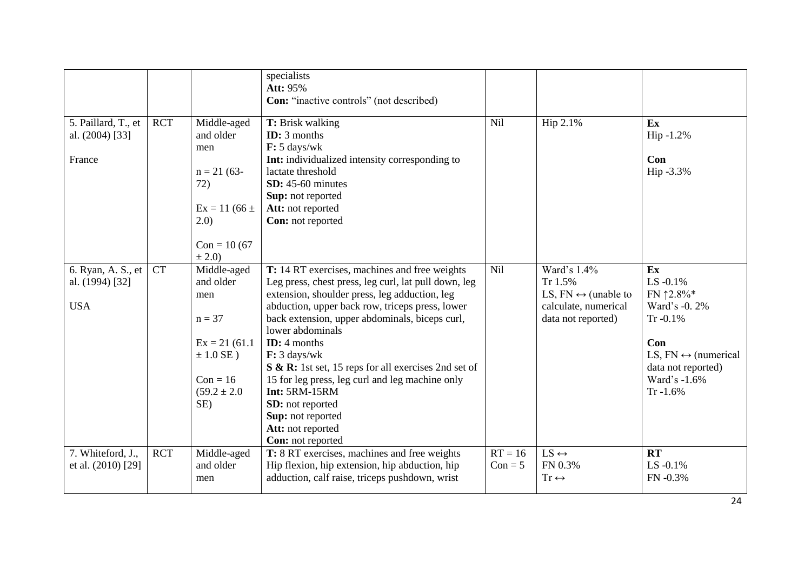|                                                     |            |                                                                                                                          | specialists<br>Att: 95%<br><b>Con:</b> "inactive controls" (not described)                                                                                                                                                                                                                                                                                                                                                                                                                                                                                       |                        |                                                                                                             |                                                                                                                                                         |
|-----------------------------------------------------|------------|--------------------------------------------------------------------------------------------------------------------------|------------------------------------------------------------------------------------------------------------------------------------------------------------------------------------------------------------------------------------------------------------------------------------------------------------------------------------------------------------------------------------------------------------------------------------------------------------------------------------------------------------------------------------------------------------------|------------------------|-------------------------------------------------------------------------------------------------------------|---------------------------------------------------------------------------------------------------------------------------------------------------------|
| 5. Paillard, T., et<br>al. (2004) [33]<br>France    | <b>RCT</b> | Middle-aged<br>and older<br>men<br>$n = 21(63 -$<br>72)<br>$Ex = 11 (66 \pm$<br>2.0)<br>$Con = 10(67)$<br>$\pm 2.0$      | <b>T:</b> Brisk walking<br><b>ID:</b> 3 months<br>$F: 5$ days/wk<br>Int: individualized intensity corresponding to<br>lactate threshold<br>$SD: 45-60$ minutes<br>Sup: not reported<br>Att: not reported<br>Con: not reported                                                                                                                                                                                                                                                                                                                                    | Nil                    | Hip 2.1%                                                                                                    | Ex<br>Hip-1.2%<br>Con<br>Hip -3.3%                                                                                                                      |
| 6. Ryan, A. S., et<br>al. (1994) [32]<br><b>USA</b> | <b>CT</b>  | Middle-aged<br>and older<br>men<br>$n = 37$<br>$Ex = 21(61.1)$<br>$\pm$ 1.0 SE)<br>$Con = 16$<br>$(59.2 \pm 2.0)$<br>SE) | T: 14 RT exercises, machines and free weights<br>Leg press, chest press, leg curl, lat pull down, leg<br>extension, shoulder press, leg adduction, leg<br>abduction, upper back row, triceps press, lower<br>back extension, upper abdominals, biceps curl,<br>lower abdominals<br><b>ID:</b> 4 months<br>$\mathbf{F: } 3 \text{ days/wk}$<br>S & R: 1st set, 15 reps for all exercises 2nd set of<br>15 for leg press, leg curl and leg machine only<br><b>Int: 5RM-15RM</b><br>SD: not reported<br>Sup: not reported<br>Att: not reported<br>Con: not reported | <b>Nil</b>             | Ward's 1.4%<br>Tr 1.5%<br>LS, $FN \leftrightarrow$ (unable to<br>calculate, numerical<br>data not reported) | Ex<br>LS-0.1%<br>FN 12.8%*<br>Ward's -0.2%<br>Tr-0.1%<br>Con<br>LS, $FN \leftrightarrow$ (numerical<br>data not reported)<br>Ward's -1.6%<br>$Tr -1.6%$ |
| 7. Whiteford, J.,<br>et al. (2010) [29]             | <b>RCT</b> | Middle-aged<br>and older<br>men                                                                                          | <b>T:</b> 8 RT exercises, machines and free weights<br>Hip flexion, hip extension, hip abduction, hip<br>adduction, calf raise, triceps pushdown, wrist                                                                                                                                                                                                                                                                                                                                                                                                          | $RT = 16$<br>$Con = 5$ | $LS \leftrightarrow$<br>FN 0.3%<br>$Tr \leftrightarrow$                                                     | <b>RT</b><br>$LS -0.1%$<br>FN -0.3%                                                                                                                     |